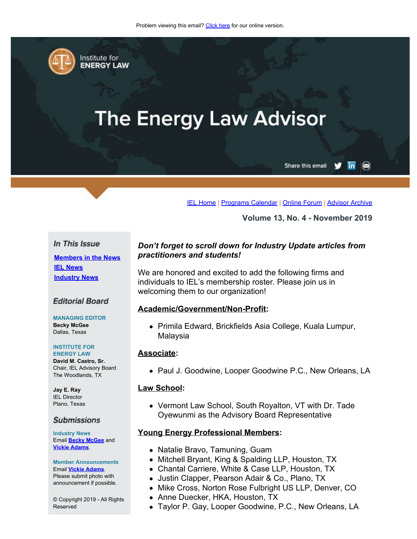<span id="page-0-0"></span>

Institute for **ENERGY LAW** 

# **The Energy Law Advisor**

Share this email in  $\circledcirc$ 

[IEL Home](http://www.cailaw.org/institute-for-energy-law/index.html?utm_source=Informz&utm_medium=Email&utm_campaign=Event+Details) | [Programs Calendar](http://www.cailaw.org/institute-for-energy-law/programs-calendar.html?utm_source=Informz&utm_medium=Email&utm_campaign=Event+Details) | [Online Forum](https://www.linkedin.com/groups?gid=2330688&trk=myg_ugrp_ovr) | [Advisor Archive](http://www.cailaw.org/institute-for-energy-law/publications/energy-law-advisor.html?utm_source=Informz&utm_medium=Email&utm_campaign=Event+Details)

**Volume 13, No. 4 - November 2019**

#### In This Issue

**[Members in the News](#page-0-0) [IEL News](#page-0-0) [Industry News](#page-0-0)**

#### **Editorial Board**

**MANAGING EDITOR Becky McGee** Dallas, Texas

#### **INSTITUTE FOR ENERGY LAW**

**David M. Castro, Sr.** Chair, IEL Advisory Board The Woodlands, TX

**Jay E. Ray** IEL Director Plano, Texas

#### **Submissions**

**Industry News** Email **[Becky McGee](mailto:beckymcgee@charter.net)** and **[Vickie Adams](mailto:vadams@cailaw.org)**.

**Member Announcements** Email **[Vickie Adams](mailto:vadams@cailaw.org)**. Please submit photo with announcement if possible.

© Copyright 2019 - All Rights Reserved

# *Don't forget to scroll down for Industry Update articles from practitioners and students!*

We are honored and excited to add the following firms and individuals to IEL's membership roster. Please join us in welcoming them to our organization!

#### **Academic/Government/Non-Profit:**

Primila Edward, Brickfields Asia College, Kuala Lumpur, Malaysia

#### **Associate:**

• Paul J. Goodwine, Looper Goodwine P.C., New Orleans, LA

#### **Law School:**

Vermont Law School, South Royalton, VT with Dr. Tade Oyewunmi as the Advisory Board Representative

#### **Young Energy Professional Members:**

- Natalie Bravo, Tamuning, Guam
- Mitchell Bryant, King & Spalding LLP, Houston, TX
- Chantal Carriere, White & Case LLP, Houston, TX
- Justin Clapper, Pearson Adair & Co., Plano, TX
- Mike Cross, Norton Rose Fulbright US LLP, Denver, CO
- Anne Duecker, HKA, Houston, TX
- Taylor P. Gay, Looper Goodwine, P.C., New Orleans, LA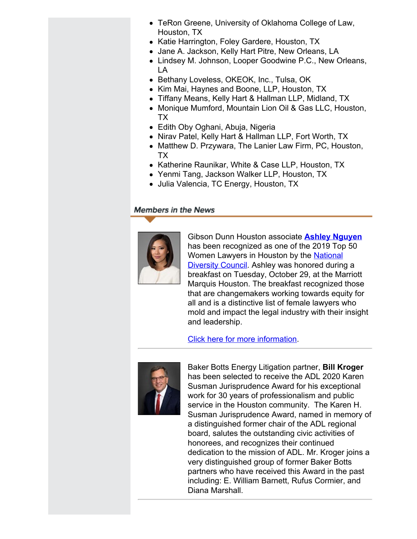- TeRon Greene, University of Oklahoma College of Law, Houston, TX
- Katie Harrington, Foley Gardere, Houston, TX
- Jane A. Jackson, Kelly Hart Pitre, New Orleans, LA
- Lindsey M. Johnson, Looper Goodwine P.C., New Orleans, LA
- Bethany Loveless, OKEOK, Inc., Tulsa, OK
- Kim Mai, Haynes and Boone, LLP, Houston, TX
- Tiffany Means, Kelly Hart & Hallman LLP, Midland, TX
- Monique Mumford, Mountain Lion Oil & Gas LLC, Houston, TX
- Edith Oby Oghani, Abuja, Nigeria
- Nirav Patel, Kelly Hart & Hallman LLP, Fort Worth, TX
- Matthew D. Przywara, The Lanier Law Firm, PC, Houston, TX
- Katherine Raunikar, White & Case LLP, Houston, TX
- Yenmi Tang, Jackson Walker LLP, Houston, TX
- Julia Valencia, TC Energy, Houston, TX

# **Members in the News**



Gibson Dunn Houston associate **[Ashley Nguyen](https://www.linkedin.com/in/ACoAAAHr3YUB07hj5z62g4sAWa9kn7qOzscI7rw/)** has been recognized as one of the 2019 Top 50 Women Lawyers in Houston by the [National](https://www.linkedin.com/company/national-diversity-council/) **[Diversity Council](https://www.linkedin.com/company/national-diversity-council/).** Ashley was honored during a breakfast on Tuesday, October 29, at the Marriott Marquis Houston. The breakfast recognized those that are changemakers working towards equity for all and is a distinctive list of female lawyers who mold and impact the legal industry with their insight and leadership.

[Click here for more information](https://www.csrwire.com/press_releases/42866-National-Diversity-Council-to-Kick-Off-Legal-Diversity-Week-Recognizing-Top-50-Women-Lawyers).



Baker Botts Energy Litigation partner, **Bill Kroger** has been selected to receive the ADL 2020 Karen Susman Jurisprudence Award for his exceptional work for 30 years of professionalism and public service in the Houston community. The Karen H. Susman Jurisprudence Award, named in memory of a distinguished former chair of the ADL regional board, salutes the outstanding civic activities of honorees, and recognizes their continued dedication to the mission of ADL. Mr. Kroger joins a very distinguished group of former Baker Botts partners who have received this Award in the past including: E. William Barnett, Rufus Cormier, and Diana Marshall.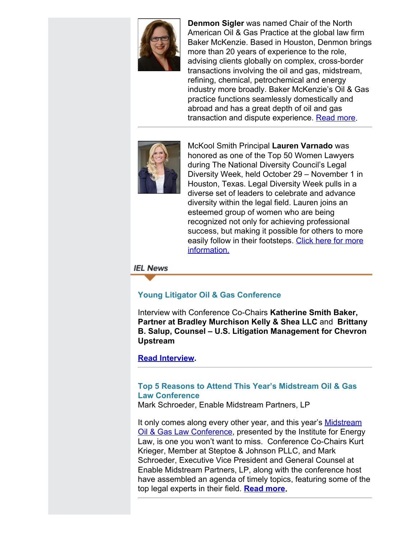

**Denmon Sigler** was named Chair of the North American Oil & Gas Practice at the global law firm Baker McKenzie. Based in Houston, Denmon brings more than 20 years of experience to the role, advising clients globally on complex, cross-border transactions involving the oil and gas, midstream, refining, chemical, petrochemical and energy industry more broadly. Baker McKenzie's Oil & Gas practice functions seamlessly domestically and abroad and has a great depth of oil and gas transaction and dispute experience. [Read more](https://www.bakermckenzie.com/en/newsroom/2019/10/oil-and-gas-chair).



McKool Smith Principal **Lauren Varnado** was honored as one of the Top 50 Women Lawyers during The National Diversity Council's Legal Diversity Week, held October 29 – November 1 in Houston, Texas. Legal Diversity Week pulls in a diverse set of leaders to celebrate and advance diversity within the legal field. Lauren joins an esteemed group of women who are being recognized not only for achieving professional success, but making it possible for others to more easily follow in their footsteps. [Click here for more](https://www.mckoolsmith.com/newsroom-news-988) [information.](https://www.mckoolsmith.com/newsroom-news-988)

# **IEL News**

# **Young Litigator Oil & Gas Conference**

Interview with Conference Co-Chairs **Katherine Smith Baker, Partner at Bradley Murchison Kelly & Shea LLC** and **Brittany B. Salup, Counsel – U.S. Litigation Management for Chevron Upstream**

# **[Read Interview](http://www.cailaw.org/media/files/IEL/Publications/2019/young-litigator-vol13no4.pdf).**

# **Top 5 Reasons to Attend This Year's Midstream Oil & Gas Law Conference**

Mark Schroeder, Enable Midstream Partners, LP

It only comes along every other year, and this year's **[Midstream](http://www.cailaw.org/institute-for-energy-law/events/2019/midstream-oil-gas-law.html?utm_source=Informz&utm_medium=Email&utm_campaign=Event+Details) [Oil & Gas Law Conference](http://www.cailaw.org/institute-for-energy-law/events/2019/midstream-oil-gas-law.html?utm_source=Informz&utm_medium=Email&utm_campaign=Event+Details), presented by the Institute for Energy** Law, is one you won't want to miss. Conference Co-Chairs Kurt Krieger, Member at Steptoe & Johnson PLLC, and Mark Schroeder, Executive Vice President and General Counsel at Enable Midstream Partners, LP, along with the conference host have assembled an agenda of timely topics, featuring some of the top legal experts in their field. **[Read more](http://www.cailaw.org/media/files/IEL/Publications/2019/midstream-vol13no4.pdf).**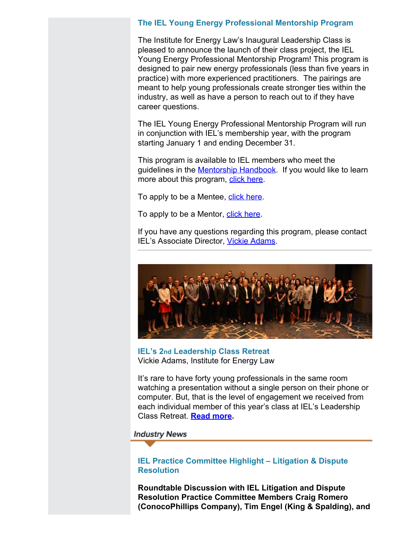# **The IEL Young Energy Professional Mentorship Program**

The Institute for Energy Law's Inaugural Leadership Class is pleased to announce the launch of their class project, the IEL Young Energy Professional Mentorship Program! This program is designed to pair new energy professionals (less than five years in practice) with more experienced practitioners. The pairings are meant to help young professionals create stronger ties within the industry, as well as have a person to reach out to if they have career questions.

The IEL Young Energy Professional Mentorship Program will run in conjunction with IEL's membership year, with the program starting January 1 and ending December 31.

This program is available to IEL members who meet the guidelines in the [Mentorship Handbook](http://www.cailaw.org/media/files/IEL/mentor-handbook.pdf). If you would like to learn more about this program, [click here](http://www.cailaw.org/institute-for-energy-law/young-energy-professionals.html?utm_source=Informz&utm_medium=Email&utm_campaign=Event+Details).

To apply to be a Mentee, [click here](https://www.surveymonkey.com/r/PDMHX6V).

To apply to be a Mentor, [click here](https://www.surveymonkey.com/r/PDZ3Z8S).

If you have any questions regarding this program, please contact IEL's Associate Director, [Vickie Adams](mailto:vadams@cailaw.org).



**IEL's 2nd Leadership Class Retreat** Vickie Adams, Institute for Energy Law

It's rare to have forty young professionals in the same room watching a presentation without a single person on their phone or computer. But, that is the level of engagement we received from each individual member of this year's class at IEL's Leadership Class Retreat. **[Read more](http://www.cailaw.org/media/files/IEL/Publications/2019/leadership-class-vol13no4.pdf).**

#### **Industry News**

## **IEL Practice Committee Highlight – Litigation & Dispute Resolution**

**Roundtable Discussion with IEL Litigation and Dispute Resolution Practice Committee Members Craig Romero (ConocoPhillips Company), Tim Engel (King & Spalding), and**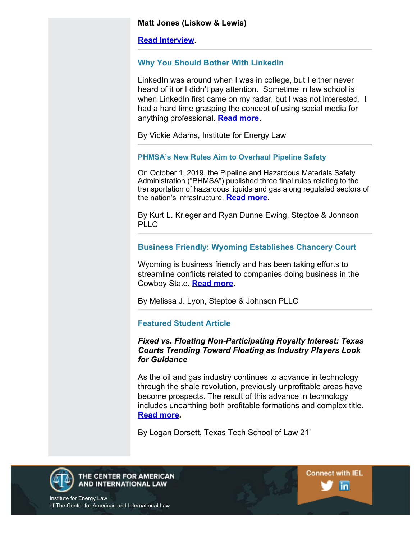#### **Matt Jones (Liskow & Lewis)**

**[Read Interview](http://www.cailaw.org/media/files/IEL/Publications/2019/litigationpc-vol13no4.pdf).**

# **Why You Should Bother With LinkedIn**

LinkedIn was around when I was in college, but I either never heard of it or I didn't pay attention. Sometime in law school is when LinkedIn first came on my radar, but I was not interested. I had a hard time grasping the concept of using social media for anything professional. **[Read more](http://www.cailaw.org/media/files/IEL/Publications/2019/linkedin-vol13no4.pdf).**

By Vickie Adams, Institute for Energy Law

# **PHMSA's New Rules Aim to Overhaul Pipeline Safety**

On October 1, 2019, the Pipeline and Hazardous Materials Safety Administration ("PHMSA") published three final rules relating to the transportation of hazardous liquids and gas along regulated sectors of the nation's infrastructure. **[Read more](http://www.cailaw.org/media/files/IEL/Publications/2019/krieger-ewing-vol13no4.pdf).**

By Kurt L. Krieger and Ryan Dunne Ewing, Steptoe & Johnson PLLC

# **Business Friendly: Wyoming Establishes Chancery Court**

Wyoming is business friendly and has been taking efforts to streamline conflicts related to companies doing business in the Cowboy State. **[Read more](http://www.cailaw.org/media/files/IEL/Publications/2019/lyon-vol13no4.pdf).**

By Melissa J. Lyon, Steptoe & Johnson PLLC

# **Featured Student Article**

# *Fixed vs. Floating Non-Participating Royalty Interest: Texas Courts Trending Toward Floating as Industry Players Look for Guidance*

As the oil and gas industry continues to advance in technology through the shale revolution, previously unprofitable areas have become prospects. The result of this advance in technology includes unearthing both profitable formations and complex title. **[Read more](http://www.cailaw.org/media/files/IEL/Publications/2019/dorsett-vol13no4.pdf).**

**Connect with IEL** 

in.

By Logan Dorsett, Texas Tech School of Law 21'



THE CENTER FOR AMERICAN AND INTERNATIONAL LAW

Institute for Energy Law of The Center for American and International Law